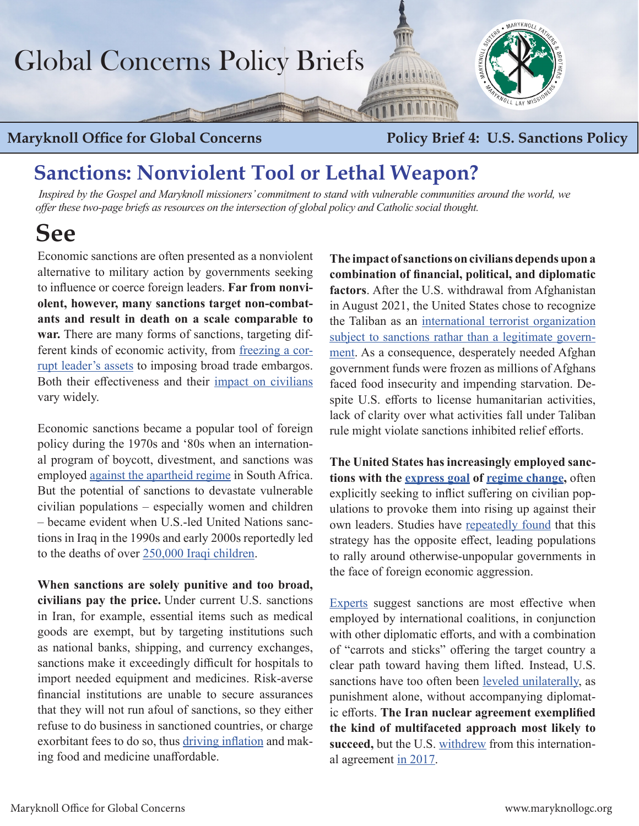# Global Concerns Policy Briefs

### **Maryknoll Office for Global Concerns Policy Brief 4: U.S. Sanctions Policy**

## **Sanctions: Nonviolent Tool or Lethal Weapon?**

 *Inspired by the Gospel and Maryknoll missioners' commitment to stand with vulnerable communities around the world, we offer these two-page briefs as resources on the intersection of global policy and Catholic social thought.* 

## **See**

Economic sanctions are often presented as a nonviolent alternative to military action by governments seeking to influence or coerce foreign leaders. **Far from nonviolent, however, many sanctions target non-combatants and result in death on a scale comparable to war.** There are many forms of sanctions, targeting different kinds of economic activity, from [freezing a cor](https://www.globalwitness.org/en/blog/its-the-end-of-the-year-the-global-magnitsky-sanctions-are-here/)[rupt leader's assets](https://www.globalwitness.org/en/blog/its-the-end-of-the-year-the-global-magnitsky-sanctions-are-here/) to imposing broad trade embargos. Both their effectiveness and their [impact on civilians](https://charityandsecurity.org/issue-areas/sanctions/) vary widely.

Economic sanctions became a popular tool of foreign policy during the 1970s and '80s when an international program of boycott, divestment, and sanctions was employed [against the apartheid regime](https://www.foreignaffairs.com/articles/united-states/2019-04-29/sanctions-cant-spark-regime-change) in South Africa. But the potential of sanctions to devastate vulnerable civilian populations – especially women and children – became evident when U.S.-led United Nations sanctions in Iraq in the 1990s and early 2000s reportedly led to the deaths of over [250,000 Iraqi children.](https://www.thenation.com/article/archive/hard-look-iraq-sanctions/)

**When sanctions are solely punitive and too broad, civilians pay the price.** Under current U.S. sanctions in Iran, for example, essential items such as medical goods are exempt, but by targeting institutions such as national banks, shipping, and currency exchanges, sanctions make it exceedingly difficult for hospitals to import needed equipment and medicines. Risk-averse financial institutions are unable to secure assurances that they will not run afoul of sanctions, so they either refuse to do business in sanctioned countries, or charge exorbitant fees to do so, thus [driving inflation](https://www.justsecurity.org/79974/sanctions-policy-humane-limit-food-medicine-inflation/) and making food and medicine unaffordable.

**The impact of sanctions on civilians depends upon a combination of financial, political, and diplomatic factors**. After the U.S. withdrawal from Afghanistan in August 2021, the United States chose to recognize the Taliban as an [international terrorist organization](https://home.treasury.gov/policy-issues/financial-sanctions/sanctions-programs-and-country-information/counter-terrorism-sanctions)  [subject to sanctions](https://home.treasury.gov/policy-issues/financial-sanctions/sanctions-programs-and-country-information/counter-terrorism-sanctions) rathar than a legitimate government. As a consequence, desperately needed Afghan government funds were frozen as millions of Afghans faced food insecurity and impending starvation. Despite U.S. efforts to license humanitarian activities, lack of clarity over what activities fall under Taliban rule might violate sanctions inhibited relief efforts.

**The United States has increasingly employed sanctions with the [express goal](https://www.foreignaffairs.com/articles/united-states/2019-04-29/sanctions-cant-spark-regime-change) of [regime change](https://thehill.com/opinion/international/400533-the-iran-sanctions-are-bound-to-fail),** often explicitly seeking to inflict suffering on civilian populations to provoke them into rising up against their own leaders. Studies have [repeatedly found](https://theconversation.com/us-is-already-fighting-a-conflict-with-iran-an-economic-war-that-is-hurting-the-wrong-people-117568) that this strategy has the opposite effect, leading populations to rally around otherwise-unpopular governments in the face of foreign economic aggression.

[Experts](https://thehill.com/opinion/international/388757-america-should-be-cautious-with-maximum-pressure-iran-sanctions) suggest sanctions are most effective when employed by international coalitions, in conjunction with other diplomatic efforts, and with a combination of "carrots and sticks" offering the target country a clear path toward having them lifted. Instead, U.S. sanctions have too often been [leveled unilaterally](https://www.brookings.edu/research/economic-sanctions-too-much-of-a-bad-thing/), as punishment alone, without accompanying diplomatic efforts. **The Iran nuclear agreement exemplified the kind of multifaceted approach most likely to succeed,** but the U.S. [withdrew](https://maryknollogc.org/sites/default/files/article/attachment/Catholic_Coalition_NKorea_Iran_10_12_17 (2).pdf) from this international agreement [in 2017.](https://maryknollogc.org/sites/default/files/article/attachment/Catholic_Coalition_NKorea_Iran_10_12_17 (2).pdf)